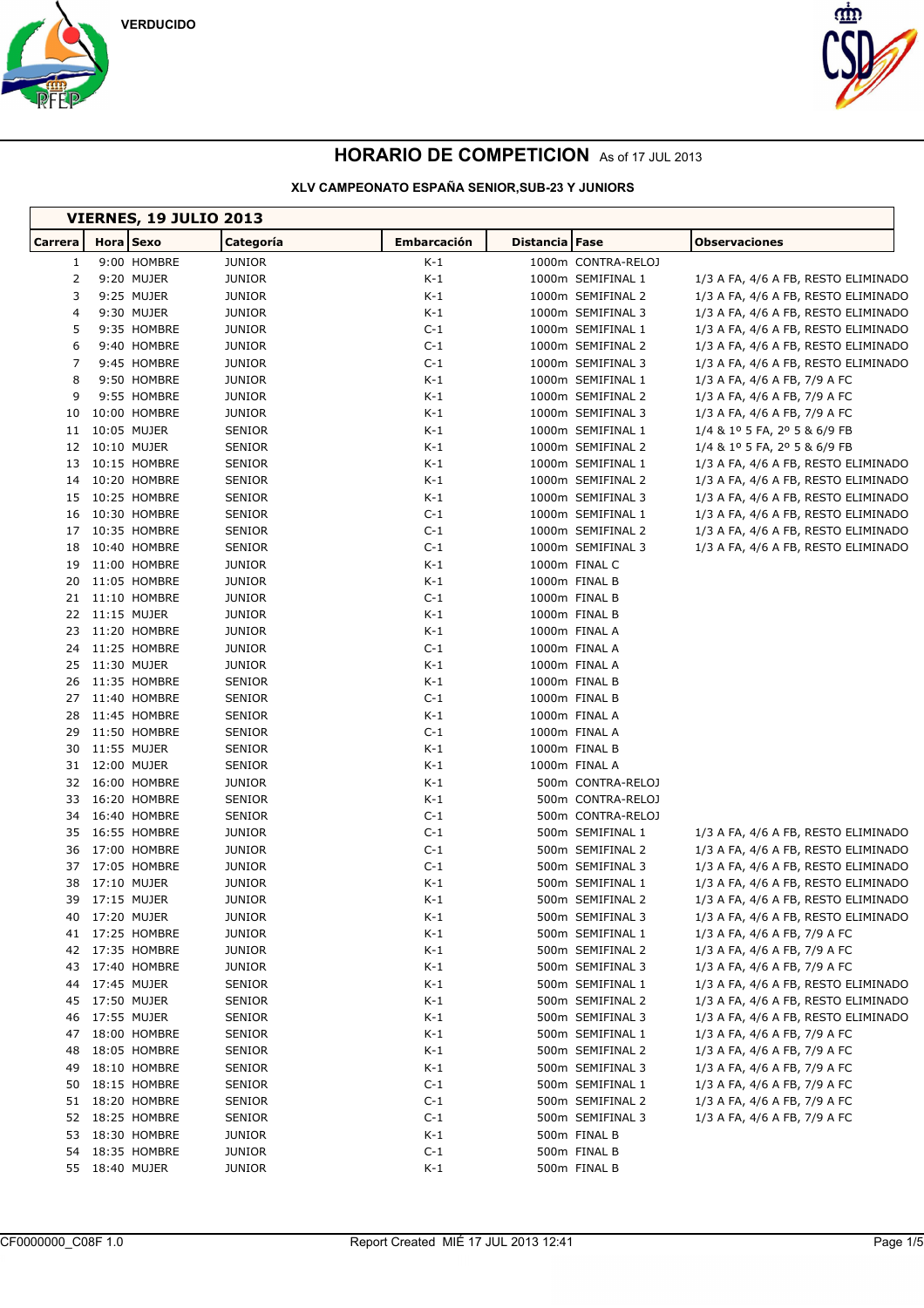

 $\mathsf{r}$ 



## **HORARIO DE COMPETICION** As of 17 JUL 2013

|                | <b>VIERNES, 19 JULIO 2013</b> |                                |              |                                |                                     |  |  |
|----------------|-------------------------------|--------------------------------|--------------|--------------------------------|-------------------------------------|--|--|
| Carrera        | Hora Sexo                     | Categoría                      | Embarcación  | Distancia Fase                 | <b>Observaciones</b>                |  |  |
| 1              | 9:00 HOMBRE                   | <b>JUNIOR</b>                  | K-1          | 1000m CONTRA-RELOJ             |                                     |  |  |
| $\overline{2}$ | 9:20 MUJER                    | <b>JUNIOR</b>                  | $K-1$        | 1000m SEMIFINAL 1              | 1/3 A FA, 4/6 A FB, RESTO ELIMINADO |  |  |
| 3              | 9:25 MUJER                    | JUNIOR                         | K-1          | 1000m SEMIFINAL 2              | 1/3 A FA, 4/6 A FB, RESTO ELIMINADO |  |  |
| 4              | 9:30 MUJER                    | <b>JUNIOR</b>                  | K-1          | 1000m SEMIFINAL 3              | 1/3 A FA, 4/6 A FB, RESTO ELIMINADO |  |  |
| 5              | 9:35 HOMBRE                   | <b>JUNIOR</b>                  | $C-1$        | 1000m SEMIFINAL 1              | 1/3 A FA, 4/6 A FB, RESTO ELIMINADO |  |  |
| 6              | 9:40 HOMBRE                   | <b>JUNIOR</b>                  | $C-1$        | 1000m SEMIFINAL 2              | 1/3 A FA, 4/6 A FB, RESTO ELIMINADO |  |  |
| 7              | 9:45 HOMBRE                   | <b>JUNIOR</b>                  | $C-1$        | 1000m SEMIFINAL 3              | 1/3 A FA, 4/6 A FB, RESTO ELIMINADO |  |  |
| 8              | 9:50 HOMBRE                   | JUNIOR                         | $K-1$        | 1000m SEMIFINAL 1              | 1/3 A FA, 4/6 A FB, 7/9 A FC        |  |  |
| 9              | 9:55 HOMBRE                   | <b>JUNIOR</b>                  | K-1          | 1000m SEMIFINAL 2              | 1/3 A FA, 4/6 A FB, 7/9 A FC        |  |  |
| 10             | 10:00 HOMBRE                  | <b>JUNIOR</b>                  | K-1          | 1000m SEMIFINAL 3              | 1/3 A FA, 4/6 A FB, 7/9 A FC        |  |  |
| 11             | 10:05 MUJER                   | <b>SENIOR</b>                  | K-1          | 1000m SEMIFINAL 1              | 1/4 & 1º 5 FA, 2º 5 & 6/9 FB        |  |  |
| 12             | 10:10 MUJER                   | <b>SENIOR</b>                  | K-1          | 1000m SEMIFINAL 2              | 1/4 & 1º 5 FA, 2º 5 & 6/9 FB        |  |  |
| 13             | 10:15 HOMBRE                  | <b>SENIOR</b>                  | $K-1$        | 1000m SEMIFINAL 1              | 1/3 A FA, 4/6 A FB, RESTO ELIMINADO |  |  |
| 14             | 10:20 HOMBRE                  | <b>SENIOR</b>                  | K-1          | 1000m SEMIFINAL 2              | 1/3 A FA, 4/6 A FB, RESTO ELIMINADO |  |  |
| 15             | 10:25 HOMBRE                  | <b>SENIOR</b>                  | K-1          | 1000m SEMIFINAL 3              | 1/3 A FA, 4/6 A FB, RESTO ELIMINADO |  |  |
| 16             | 10:30 HOMBRE                  | SENIOR                         | $C-1$        | 1000m SEMIFINAL 1              | 1/3 A FA, 4/6 A FB, RESTO ELIMINADO |  |  |
| 17             | 10:35 HOMBRE                  | <b>SENIOR</b>                  | $C-1$        | 1000m SEMIFINAL 2              | 1/3 A FA, 4/6 A FB, RESTO ELIMINADO |  |  |
| 18             | 10:40 HOMBRE                  | <b>SENIOR</b>                  | $C-1$        | 1000m SEMIFINAL 3              | 1/3 A FA, 4/6 A FB, RESTO ELIMINADO |  |  |
| 19             | 11:00 HOMBRE                  | <b>JUNIOR</b>                  | K-1          | 1000m FINAL C                  |                                     |  |  |
| 20             | 11:05 HOMBRE                  | <b>JUNIOR</b>                  | $K-1$        | 1000m FINAL B                  |                                     |  |  |
| 21             | 11:10 HOMBRE                  | <b>JUNIOR</b>                  | $C-1$        | 1000m FINAL B                  |                                     |  |  |
| 22             | 11:15 MUJER                   | <b>JUNIOR</b>                  | K-1          | 1000m FINAL B                  |                                     |  |  |
| 23             | 11:20 HOMBRE                  | <b>JUNIOR</b>                  | K-1          | 1000m FINAL A                  |                                     |  |  |
| 24<br>25       | 11:25 HOMBRE<br>11:30 MUJER   | <b>JUNIOR</b>                  | $C-1$        | 1000m FINAL A                  |                                     |  |  |
| 26             | 11:35 HOMBRE                  | <b>JUNIOR</b><br><b>SENIOR</b> | K-1<br>$K-1$ | 1000m FINAL A<br>1000m FINAL B |                                     |  |  |
| 27             | 11:40 HOMBRE                  | <b>SENIOR</b>                  | $C-1$        | 1000m FINAL B                  |                                     |  |  |
| 28             | 11:45 HOMBRE                  | <b>SENIOR</b>                  | K-1          | 1000m FINAL A                  |                                     |  |  |
| 29             | 11:50 HOMBRE                  | <b>SENIOR</b>                  | $C-1$        | 1000m FINAL A                  |                                     |  |  |
| 30             | 11:55 MUJER                   | <b>SENIOR</b>                  | K-1          | 1000m FINAL B                  |                                     |  |  |
| 31             | 12:00 MUJER                   | <b>SENIOR</b>                  | K-1          | 1000m FINAL A                  |                                     |  |  |
| 32             | 16:00 HOMBRE                  | JUNIOR                         | $K-1$        | 500m CONTRA-RELOJ              |                                     |  |  |
| 33             | 16:20 HOMBRE                  | <b>SENIOR</b>                  | K-1          | 500m CONTRA-RELOJ              |                                     |  |  |
| 34             | 16:40 HOMBRE                  | <b>SENIOR</b>                  | $C-1$        | 500m CONTRA-RELOJ              |                                     |  |  |
| 35             | 16:55 HOMBRE                  | <b>JUNIOR</b>                  | $C-1$        | 500m SEMIFINAL 1               | 1/3 A FA, 4/6 A FB, RESTO ELIMINADO |  |  |
| 36             | 17:00 HOMBRE                  | <b>JUNIOR</b>                  | $C-1$        | 500m SEMIFINAL 2               | 1/3 A FA, 4/6 A FB, RESTO ELIMINADO |  |  |
| 37             | 17:05 HOMBRE                  | <b>JUNIOR</b>                  | $C-1$        | 500m SEMIFINAL 3               | 1/3 A FA, 4/6 A FB, RESTO ELIMINADO |  |  |
| 38             | 17:10 MUJER                   | <b>JUNIOR</b>                  | $K-1$        | 500m SEMIFINAL 1               | 1/3 A FA, 4/6 A FB, RESTO ELIMINADO |  |  |
| 39             | 17:15 MUJER                   | <b>JUNIOR</b>                  | K-1          | 500m SEMIFINAL 2               | 1/3 A FA, 4/6 A FB, RESTO ELIMINADO |  |  |
| 40             | 17:20 MUJER                   | <b>JUNIOR</b>                  | K-1          | 500m SEMIFINAL 3               | 1/3 A FA, 4/6 A FB, RESTO ELIMINADO |  |  |
| 41             | 17:25 HOMBRE                  | <b>JUNIOR</b>                  | $K-1$        | 500m SEMIFINAL 1               | 1/3 A FA, 4/6 A FB, 7/9 A FC        |  |  |
| 42             | 17:35 HOMBRE                  | <b>JUNIOR</b>                  | $K-1$        | 500m SEMIFINAL 2               | 1/3 A FA, 4/6 A FB, 7/9 A FC        |  |  |
| 43             | 17:40 HOMBRE                  | <b>JUNIOR</b>                  | K-1          | 500m SEMIFINAL 3               | 1/3 A FA, 4/6 A FB, 7/9 A FC        |  |  |
| 44             | 17:45 MUJER                   | <b>SENIOR</b>                  | K-1          | 500m SEMIFINAL 1               | 1/3 A FA, 4/6 A FB, RESTO ELIMINADO |  |  |
| 45             | 17:50 MUJER                   | SENIOR                         | K-1          | 500m SEMIFINAL 2               | 1/3 A FA, 4/6 A FB, RESTO ELIMINADO |  |  |
| 46             | 17:55 MUJER                   | <b>SENIOR</b>                  | K-1          | 500m SEMIFINAL 3               | 1/3 A FA, 4/6 A FB, RESTO ELIMINADO |  |  |
| 47             | 18:00 HOMBRE                  | SENIOR                         | K-1          | 500m SEMIFINAL 1               | 1/3 A FA, 4/6 A FB, 7/9 A FC        |  |  |
| 48             | 18:05 HOMBRE                  | <b>SENIOR</b>                  | K-1          | 500m SEMIFINAL 2               | 1/3 A FA, 4/6 A FB, 7/9 A FC        |  |  |
| 49             | 18:10 HOMBRE                  | <b>SENIOR</b>                  | K-1          | 500m SEMIFINAL 3               | 1/3 A FA, 4/6 A FB, 7/9 A FC        |  |  |
| 50             | 18:15 HOMBRE                  | SENIOR                         | $C-1$        | 500m SEMIFINAL 1               | 1/3 A FA, 4/6 A FB, 7/9 A FC        |  |  |
| 51             | 18:20 HOMBRE                  | SENIOR                         | $C-1$        | 500m SEMIFINAL 2               | 1/3 A FA, 4/6 A FB, 7/9 A FC        |  |  |
| 52             | 18:25 HOMBRE                  | SENIOR                         | $C-1$        | 500m SEMIFINAL 3               | 1/3 A FA, 4/6 A FB, 7/9 A FC        |  |  |
| 53             | 18:30 HOMBRE                  | JUNIOR                         | $K-1$        | 500m FINAL B                   |                                     |  |  |
| 54             | 18:35 HOMBRE                  | <b>JUNIOR</b>                  | $C-1$        | 500m FINAL B                   |                                     |  |  |
| 55             | 18:40 MUJER                   | <b>JUNIOR</b>                  | K-1          | 500m FINAL B                   |                                     |  |  |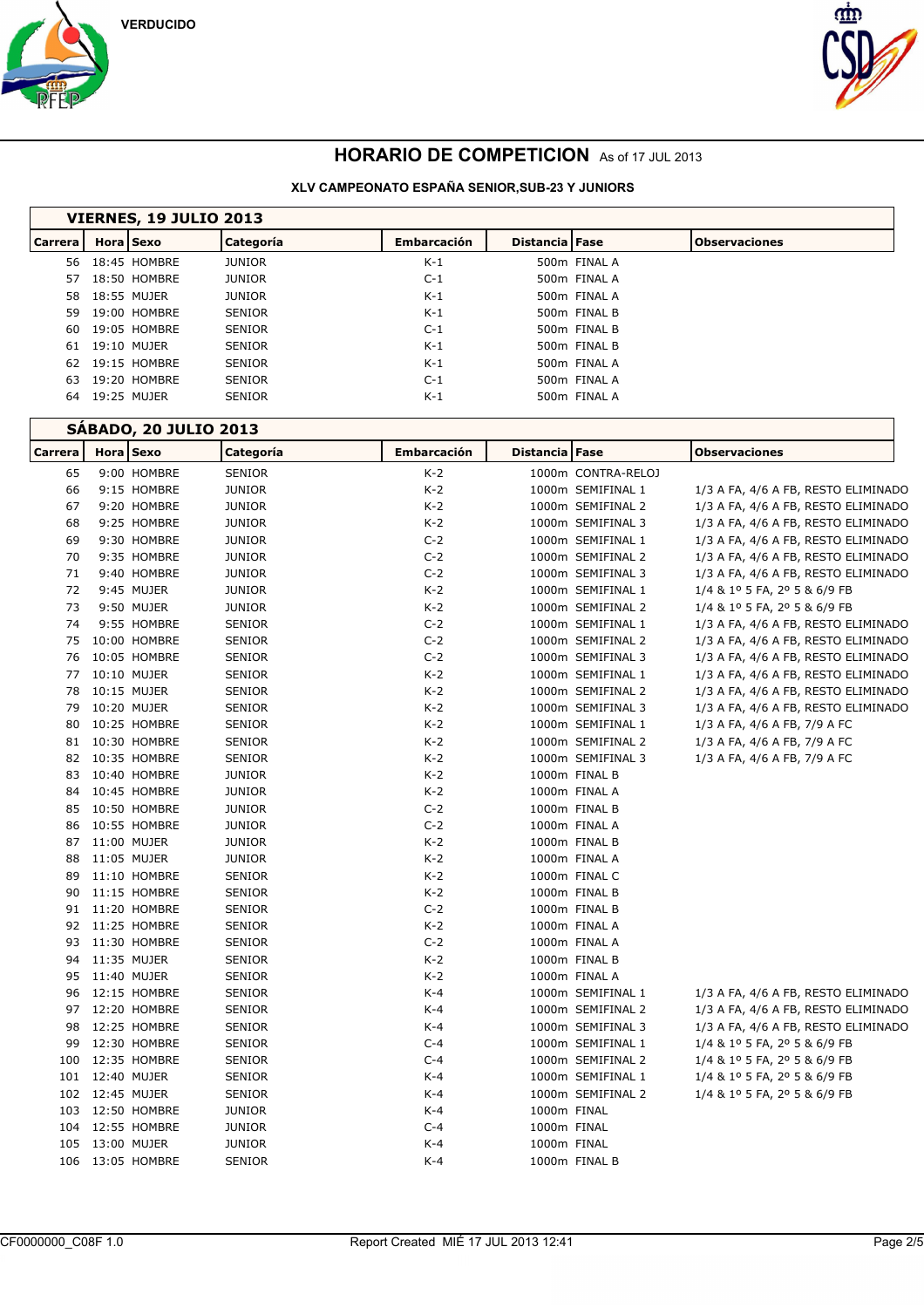



| VIERNES, 19 JULIO 2013 |  |                                                                                                                                                                             |                    |  |  |                                                                                                                                                                |  |
|------------------------|--|-----------------------------------------------------------------------------------------------------------------------------------------------------------------------------|--------------------|--|--|----------------------------------------------------------------------------------------------------------------------------------------------------------------|--|
|                        |  |                                                                                                                                                                             | <b>Embarcación</b> |  |  | <b>Observaciones</b>                                                                                                                                           |  |
|                        |  | <b>JUNIOR</b>                                                                                                                                                               | $K-1$              |  |  |                                                                                                                                                                |  |
|                        |  | <b>JUNIOR</b>                                                                                                                                                               | $C-1$              |  |  |                                                                                                                                                                |  |
|                        |  | <b>JUNIOR</b>                                                                                                                                                               | $K-1$              |  |  |                                                                                                                                                                |  |
|                        |  | <b>SENIOR</b>                                                                                                                                                               | $K-1$              |  |  |                                                                                                                                                                |  |
|                        |  | <b>SENIOR</b>                                                                                                                                                               | $C-1$              |  |  |                                                                                                                                                                |  |
|                        |  | <b>SENIOR</b>                                                                                                                                                               | $K-1$              |  |  |                                                                                                                                                                |  |
|                        |  | <b>SENIOR</b>                                                                                                                                                               | $K-1$              |  |  |                                                                                                                                                                |  |
|                        |  | <b>SENIOR</b>                                                                                                                                                               | $C-1$              |  |  |                                                                                                                                                                |  |
|                        |  | <b>SENIOR</b>                                                                                                                                                               | $K-1$              |  |  |                                                                                                                                                                |  |
|                        |  | Hora Sexo<br>56 18:45 HOMBRE<br>57 18:50 HOMBRE<br>58 18:55 MUJER<br>59 19:00 HOMBRE<br>60 19:05 HOMBRE<br>61 19:10 MUJER<br>62 19:15 HOMBRE<br>19:20 HOMBRE<br>19:25 MUJER | Categoría          |  |  | Distancia Fase<br>500m FINAL A<br>500m FINAL A<br>500m FINAL A<br>500m FINAL B<br>500m FINAL B<br>500m FINAL B<br>500m FINAL A<br>500m FINAL A<br>500m FINAL A |  |

|                | <b>SÁBADO, 20 JULIO 2013</b> |                  |               |                    |                |                    |                                     |  |
|----------------|------------------------------|------------------|---------------|--------------------|----------------|--------------------|-------------------------------------|--|
| <b>Carrera</b> |                              | Hora Sexo        | Categoría     | <b>Embarcación</b> | Distancia Fase |                    | <b>Observaciones</b>                |  |
| 65             |                              | 9:00 HOMBRE      | <b>SENIOR</b> | $K-2$              |                | 1000m CONTRA-RELOJ |                                     |  |
| 66             |                              | 9:15 HOMBRE      | <b>JUNIOR</b> | $K-2$              |                | 1000m SEMIFINAL 1  | 1/3 A FA, 4/6 A FB, RESTO ELIMINADO |  |
| 67             |                              | 9:20 HOMBRE      | <b>JUNIOR</b> | $K-2$              |                | 1000m SEMIFINAL 2  | 1/3 A FA, 4/6 A FB, RESTO ELIMINADO |  |
| 68             |                              | 9:25 HOMBRE      | <b>JUNIOR</b> | $K-2$              |                | 1000m SEMIFINAL 3  | 1/3 A FA, 4/6 A FB, RESTO ELIMINADO |  |
| 69             |                              | 9:30 HOMBRE      | <b>JUNIOR</b> | $C-2$              |                | 1000m SEMIFINAL 1  | 1/3 A FA, 4/6 A FB, RESTO ELIMINADO |  |
| 70             |                              | 9:35 HOMBRE      | <b>JUNIOR</b> | $C-2$              |                | 1000m SEMIFINAL 2  | 1/3 A FA, 4/6 A FB, RESTO ELIMINADO |  |
| 71             |                              | 9:40 HOMBRE      | <b>JUNIOR</b> | $C-2$              |                | 1000m SEMIFINAL 3  | 1/3 A FA, 4/6 A FB, RESTO ELIMINADO |  |
| 72             |                              | 9:45 MUJER       | <b>JUNIOR</b> | $K-2$              |                | 1000m SEMIFINAL 1  | 1/4 & 1º 5 FA, 2º 5 & 6/9 FB        |  |
| 73             |                              | 9:50 MUJER       | <b>JUNIOR</b> | $K-2$              |                | 1000m SEMIFINAL 2  | 1/4 & 1º 5 FA, 2º 5 & 6/9 FB        |  |
| 74             |                              | 9:55 HOMBRE      | <b>SENIOR</b> | $C-2$              |                | 1000m SEMIFINAL 1  | 1/3 A FA, 4/6 A FB, RESTO ELIMINADO |  |
| 75             |                              | 10:00 HOMBRE     | <b>SENIOR</b> | $C-2$              |                | 1000m SEMIFINAL 2  | 1/3 A FA, 4/6 A FB, RESTO ELIMINADO |  |
| 76             |                              | 10:05 HOMBRE     | <b>SENIOR</b> | $C-2$              |                | 1000m SEMIFINAL 3  | 1/3 A FA, 4/6 A FB, RESTO ELIMINADO |  |
| 77             |                              | 10:10 MUJER      | <b>SENIOR</b> | $K-2$              |                | 1000m SEMIFINAL 1  | 1/3 A FA, 4/6 A FB, RESTO ELIMINADO |  |
| 78             |                              | 10:15 MUJER      | <b>SENIOR</b> | $K-2$              |                | 1000m SEMIFINAL 2  | 1/3 A FA, 4/6 A FB, RESTO ELIMINADO |  |
| 79             |                              | 10:20 MUJER      | <b>SENIOR</b> | $K-2$              |                | 1000m SEMIFINAL 3  | 1/3 A FA, 4/6 A FB, RESTO ELIMINADO |  |
| 80             |                              | 10:25 HOMBRE     | <b>SENIOR</b> | $K-2$              |                | 1000m SEMIFINAL 1  | 1/3 A FA, 4/6 A FB, 7/9 A FC        |  |
| 81             |                              | 10:30 HOMBRE     | <b>SENIOR</b> | $K-2$              |                | 1000m SEMIFINAL 2  | 1/3 A FA, 4/6 A FB, 7/9 A FC        |  |
| 82             |                              | 10:35 HOMBRE     | <b>SENIOR</b> | $K-2$              |                | 1000m SEMIFINAL 3  | 1/3 A FA, 4/6 A FB, 7/9 A FC        |  |
| 83             |                              | 10:40 HOMBRE     | <b>JUNIOR</b> | $K-2$              |                | 1000m FINAL B      |                                     |  |
| 84             |                              | 10:45 HOMBRE     | <b>JUNIOR</b> | $K-2$              |                | 1000m FINAL A      |                                     |  |
| 85             |                              | 10:50 HOMBRE     | <b>JUNIOR</b> | $C-2$              |                | 1000m FINAL B      |                                     |  |
| 86             |                              | 10:55 HOMBRE     | <b>JUNIOR</b> | $C-2$              |                | 1000m FINAL A      |                                     |  |
| 87             |                              | 11:00 MUJER      | <b>JUNIOR</b> | $K-2$              |                | 1000m FINAL B      |                                     |  |
| 88             |                              | 11:05 MUJER      | <b>JUNIOR</b> | $K-2$              |                | 1000m FINAL A      |                                     |  |
| 89             |                              | 11:10 HOMBRE     | <b>SENIOR</b> | $K-2$              |                | 1000m FINAL C      |                                     |  |
| 90             |                              | 11:15 HOMBRE     | <b>SENIOR</b> | $K-2$              |                | 1000m FINAL B      |                                     |  |
| 91             |                              | 11:20 HOMBRE     | <b>SENIOR</b> | $C-2$              |                | 1000m FINAL B      |                                     |  |
|                |                              | 92 11:25 HOMBRE  | <b>SENIOR</b> | $K-2$              |                | 1000m FINAL A      |                                     |  |
| 93             |                              | 11:30 HOMBRE     | <b>SENIOR</b> | $C-2$              |                | 1000m FINAL A      |                                     |  |
| 94             |                              | 11:35 MUJER      | SENIOR        | $K-2$              |                | 1000m FINAL B      |                                     |  |
| 95             |                              | 11:40 MUJER      | <b>SENIOR</b> | $K-2$              |                | 1000m FINAL A      |                                     |  |
| 96             |                              | 12:15 HOMBRE     | <b>SENIOR</b> | $K-4$              |                | 1000m SEMIFINAL 1  | 1/3 A FA, 4/6 A FB, RESTO ELIMINADO |  |
| 97             |                              | 12:20 HOMBRE     | <b>SENIOR</b> | $K-4$              |                | 1000m SEMIFINAL 2  | 1/3 A FA, 4/6 A FB, RESTO ELIMINADO |  |
| 98             |                              | 12:25 HOMBRE     | <b>SENIOR</b> | $K-4$              |                | 1000m SEMIFINAL 3  | 1/3 A FA, 4/6 A FB, RESTO ELIMINADO |  |
| 99             |                              | 12:30 HOMBRE     | <b>SENIOR</b> | $C-4$              |                | 1000m SEMIFINAL 1  | 1/4 & 1º 5 FA, 2º 5 & 6/9 FB        |  |
| 100            |                              | 12:35 HOMBRE     | SENIOR        | $C-4$              |                | 1000m SEMIFINAL 2  | 1/4 & 1º 5 FA, 2º 5 & 6/9 FB        |  |
|                | 101 12:40 MUJER              |                  | <b>SENIOR</b> | K-4                |                | 1000m SEMIFINAL 1  | 1/4 & 1º 5 FA, 2º 5 & 6/9 FB        |  |
|                | 102 12:45 MUJER              |                  | <b>SENIOR</b> | $K-4$              |                | 1000m SEMIFINAL 2  | 1/4 & 1º 5 FA, 2º 5 & 6/9 FB        |  |
|                |                              | 103 12:50 HOMBRE | <b>JUNIOR</b> | K-4                | 1000m FINAL    |                    |                                     |  |
|                |                              | 104 12:55 HOMBRE | <b>JUNIOR</b> | $C-4$              | 1000m FINAL    |                    |                                     |  |
| 105            |                              | 13:00 MUJER      | <b>JUNIOR</b> | $K-4$              | 1000m FINAL    |                    |                                     |  |
|                |                              | 106 13:05 HOMBRE | <b>SENIOR</b> | $K-4$              |                | 1000m FINAL B      |                                     |  |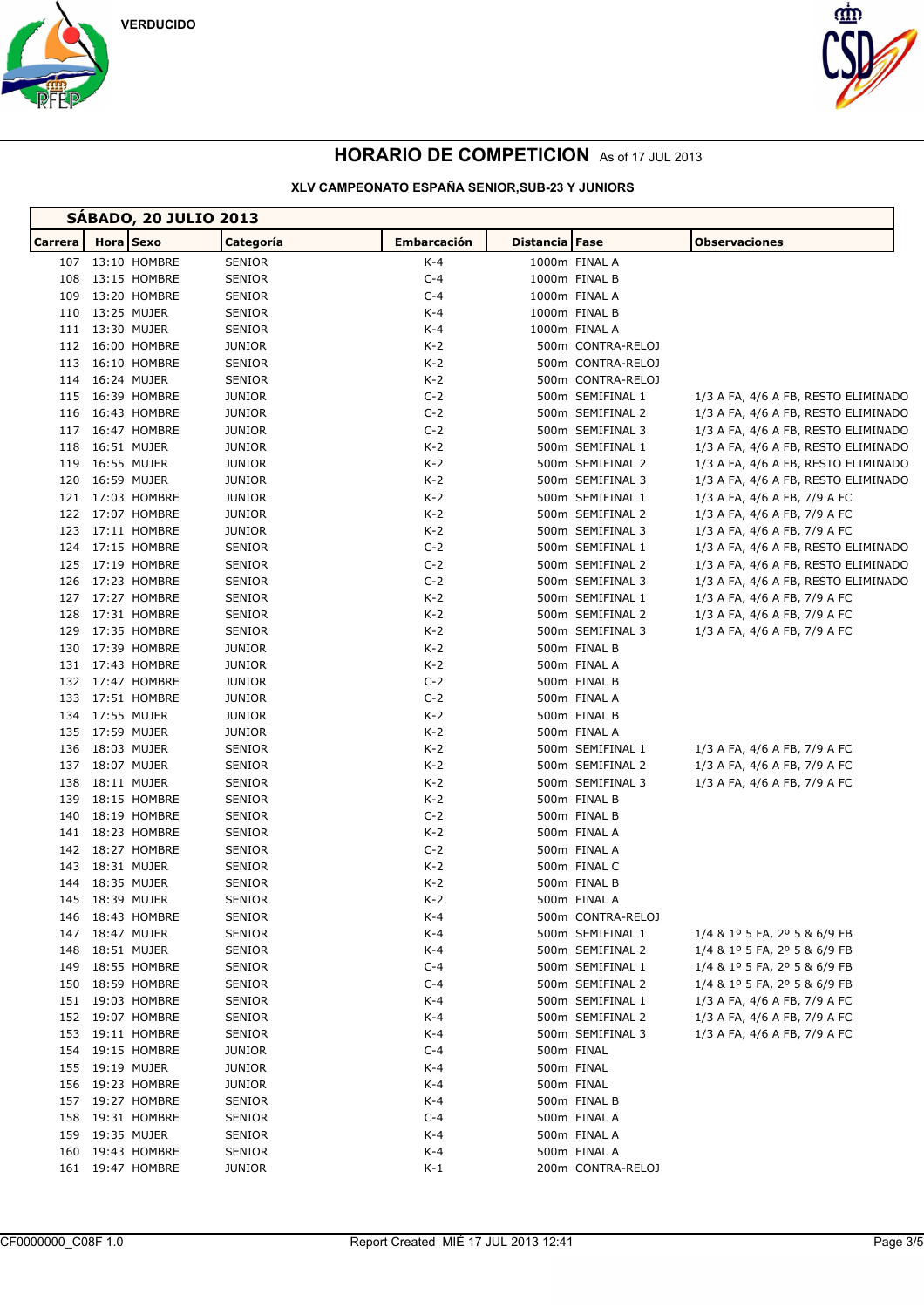



| <b>SABADO, 20 JULIO 2013</b> |  |                  |               |             |                |                   |                                     |
|------------------------------|--|------------------|---------------|-------------|----------------|-------------------|-------------------------------------|
| Carrera                      |  | <b>Hora</b> Sexo | Categoría     | Embarcación | Distancia Fase |                   | <b>Observaciones</b>                |
|                              |  | 107 13:10 HOMBRE | SENIOR        | K-4         |                | 1000m FINAL A     |                                     |
| 108                          |  | 13:15 HOMBRE     | SENIOR        | $C-4$       |                | 1000m FINAL B     |                                     |
| 109                          |  | 13:20 HOMBRE     | <b>SENIOR</b> | $C-4$       |                | 1000m FINAL A     |                                     |
|                              |  | 110 13:25 MUJER  | <b>SENIOR</b> | $K-4$       |                | 1000m FINAL B     |                                     |
|                              |  | 111 13:30 MUJER  | <b>SENIOR</b> | K-4         |                | 1000m FINAL A     |                                     |
|                              |  | 112 16:00 HOMBRE | <b>JUNIOR</b> | $K-2$       |                | 500m CONTRA-RELOJ |                                     |
|                              |  | 113 16:10 HOMBRE | SENIOR        | K-2         |                | 500m CONTRA-RELOJ |                                     |
|                              |  | 114 16:24 MUJER  | <b>SENIOR</b> | $K-2$       |                | 500m CONTRA-RELOJ |                                     |
|                              |  | 115 16:39 HOMBRE | <b>JUNIOR</b> | $C-2$       |                | 500m SEMIFINAL 1  | 1/3 A FA, 4/6 A FB, RESTO ELIMINADO |
|                              |  | 116 16:43 HOMBRE | <b>JUNIOR</b> | $C-2$       |                | 500m SEMIFINAL 2  | 1/3 A FA, 4/6 A FB, RESTO ELIMINADO |
|                              |  | 117 16:47 HOMBRE | <b>JUNIOR</b> | $C-2$       |                | 500m SEMIFINAL 3  | 1/3 A FA, 4/6 A FB, RESTO ELIMINADO |
| 118                          |  | 16:51 MUJER      | <b>JUNIOR</b> | K-2         |                | 500m SEMIFINAL 1  | 1/3 A FA, 4/6 A FB, RESTO ELIMINADO |
|                              |  | 119 16:55 MUJER  | <b>JUNIOR</b> | $K-2$       |                | 500m SEMIFINAL 2  | 1/3 A FA, 4/6 A FB, RESTO ELIMINADO |
|                              |  | 120 16:59 MUJER  | <b>JUNIOR</b> | K-2         |                | 500m SEMIFINAL 3  | 1/3 A FA, 4/6 A FB, RESTO ELIMINADO |
|                              |  | 121 17:03 HOMBRE | <b>JUNIOR</b> | K-2         |                | 500m SEMIFINAL 1  | 1/3 A FA, 4/6 A FB, 7/9 A FC        |
|                              |  | 122 17:07 HOMBRE | <b>JUNIOR</b> | $K-2$       |                | 500m SEMIFINAL 2  | 1/3 A FA, 4/6 A FB, 7/9 A FC        |
|                              |  | 123 17:11 HOMBRE | <b>JUNIOR</b> | K-2         |                | 500m SEMIFINAL 3  | 1/3 A FA, 4/6 A FB, 7/9 A FC        |
|                              |  | 124 17:15 HOMBRE | SENIOR        | $C-2$       |                | 500m SEMIFINAL 1  | 1/3 A FA, 4/6 A FB, RESTO ELIMINADO |
|                              |  | 125 17:19 HOMBRE | <b>SENIOR</b> | $C-2$       |                | 500m SEMIFINAL 2  | 1/3 A FA, 4/6 A FB, RESTO ELIMINADO |
| 126                          |  | 17:23 HOMBRE     | SENIOR        | $C-2$       |                | 500m SEMIFINAL 3  | 1/3 A FA, 4/6 A FB, RESTO ELIMINADO |
|                              |  | 127 17:27 HOMBRE | SENIOR        | $K-2$       |                | 500m SEMIFINAL 1  | 1/3 A FA, 4/6 A FB, 7/9 A FC        |
| 128                          |  | 17:31 HOMBRE     | SENIOR        | K-2         |                | 500m SEMIFINAL 2  | 1/3 A FA, 4/6 A FB, 7/9 A FC        |
| 129                          |  | 17:35 HOMBRE     | SENIOR        | K-2         |                | 500m SEMIFINAL 3  | 1/3 A FA, 4/6 A FB, 7/9 A FC        |
|                              |  | 130 17:39 HOMBRE | <b>JUNIOR</b> | K-2         |                | 500m FINAL B      |                                     |
|                              |  | 131 17:43 HOMBRE | <b>JUNIOR</b> | K-2         |                | 500m FINAL A      |                                     |
|                              |  | 132 17:47 HOMBRE | <b>JUNIOR</b> | $C-2$       |                | 500m FINAL B      |                                     |
|                              |  | 133 17:51 HOMBRE | <b>JUNIOR</b> | $C-2$       |                | 500m FINAL A      |                                     |
|                              |  | 134 17:55 MUJER  | <b>JUNIOR</b> | $K-2$       |                | 500m FINAL B      |                                     |
|                              |  | 135 17:59 MUJER  | <b>JUNIOR</b> | K-2         |                | 500m FINAL A      |                                     |
| 136                          |  | 18:03 MUJER      | <b>SENIOR</b> | K-2         |                | 500m SEMIFINAL 1  | 1/3 A FA, 4/6 A FB, 7/9 A FC        |
|                              |  | 137 18:07 MUJER  | <b>SENIOR</b> | $K-2$       |                | 500m SEMIFINAL 2  | 1/3 A FA, 4/6 A FB, 7/9 A FC        |
| 138                          |  | 18:11 MUJER      | <b>SENIOR</b> | K-2         |                | 500m SEMIFINAL 3  | 1/3 A FA, 4/6 A FB, 7/9 A FC        |
| 139                          |  | 18:15 HOMBRE     | SENIOR        | $K-2$       |                | 500m FINAL B      |                                     |
| 140                          |  | 18:19 HOMBRE     | SENIOR        | $C-2$       |                | 500m FINAL B      |                                     |
|                              |  | 141 18:23 HOMBRE | SENIOR        | K-2         |                | 500m FINAL A      |                                     |
|                              |  | 142 18:27 HOMBRE | SENIOR        | $C-2$       |                | 500m FINAL A      |                                     |
| 143                          |  | 18:31 MUJER      | <b>SENIOR</b> | $K-2$       |                | 500m FINAL C      |                                     |
|                              |  | 144 18:35 MUJER  | <b>SENIOR</b> | $K-2$       |                | 500m FINAL B      |                                     |
|                              |  | 145 18:39 MUJER  | SENIOR        | $K-2$       |                | 500m FINAL A      |                                     |
|                              |  | 146 18:43 HOMBRE | SENIOR        | K-4         |                | 500m CONTRA-RELOJ |                                     |
|                              |  | 147 18:47 MUJER  | SENIOR        | K-4         |                | 500m SEMIFINAL 1  | 1/4 & 1º 5 FA, 2º 5 & 6/9 FB        |
|                              |  | 148 18:51 MUJER  | SENIOR        | K-4         |                | 500m SEMIFINAL 2  | 1/4 & 1º 5 FA, 2º 5 & 6/9 FB        |
|                              |  | 149 18:55 HOMBRE | <b>SENIOR</b> | $C-4$       |                | 500m SEMIFINAL 1  | 1/4 & 1º 5 FA, 2º 5 & 6/9 FB        |
|                              |  | 150 18:59 HOMBRE | SENIOR        | $C-4$       |                | 500m SEMIFINAL 2  | 1/4 & 1º 5 FA, 2º 5 & 6/9 FB        |
|                              |  | 151 19:03 HOMBRE | SENIOR        | K-4         |                | 500m SEMIFINAL 1  | 1/3 A FA, 4/6 A FB, 7/9 A FC        |
|                              |  | 152 19:07 HOMBRE | SENIOR        | $K-4$       |                | 500m SEMIFINAL 2  | 1/3 A FA, 4/6 A FB, 7/9 A FC        |
|                              |  | 153 19:11 HOMBRE | SENIOR        | K-4         |                | 500m SEMIFINAL 3  | 1/3 A FA, 4/6 A FB, 7/9 A FC        |
|                              |  | 154 19:15 HOMBRE | <b>JUNIOR</b> | $C-4$       |                | 500m FINAL        |                                     |
|                              |  | 155 19:19 MUJER  | JUNIOR        | K-4         |                | 500m FINAL        |                                     |
| 156                          |  | 19:23 HOMBRE     | JUNIOR        | K-4         |                | 500m FINAL        |                                     |
|                              |  | 157 19:27 HOMBRE | SENIOR        | $K-4$       |                | 500m FINAL B      |                                     |
|                              |  | 158 19:31 HOMBRE | SENIOR        | $C-4$       |                | 500m FINAL A      |                                     |
|                              |  | 159 19:35 MUJER  | SENIOR        | K-4         |                | 500m FINAL A      |                                     |
| 160                          |  | 19:43 HOMBRE     | SENIOR        | K-4         |                | 500m FINAL A      |                                     |
|                              |  | 161 19:47 HOMBRE | <b>JUNIOR</b> | $K-1$       |                | 200m CONTRA-RELOJ |                                     |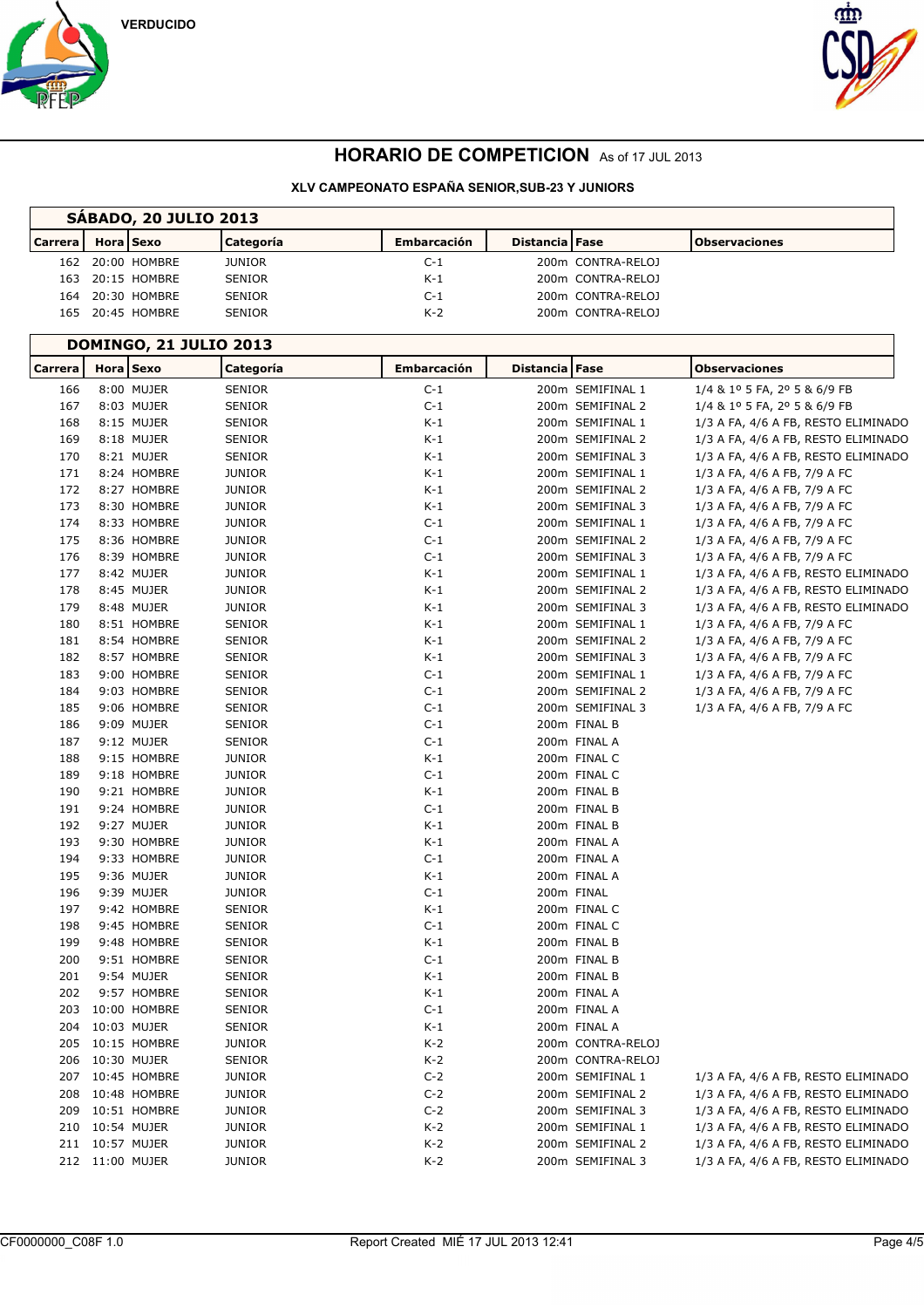





| <b>SABADO, 20 JULIO 2013</b> |                  |                  |               |                    |                         |                   |                      |  |
|------------------------------|------------------|------------------|---------------|--------------------|-------------------------|-------------------|----------------------|--|
| <b>Carrera</b>               | <b>Hora</b> Sexo |                  | Categoría     | <b>Embarcación</b> | <b>Distancia   Fase</b> |                   | <b>Observaciones</b> |  |
|                              |                  | 162 20:00 HOMBRE | <b>JUNIOR</b> | $C-1$              |                         | 200m CONTRA-RELOJ |                      |  |
|                              |                  | 163 20:15 HOMBRE | <b>SENIOR</b> | $K-1$              |                         | 200m CONTRA-RELOJ |                      |  |
|                              |                  | 164 20:30 HOMBRE | <b>SENIOR</b> | $C-1$              |                         | 200m CONTRA-RELOJ |                      |  |
|                              |                  | 165 20:45 HOMBRE | <b>SENIOR</b> | $K-2$              |                         | 200m CONTRA-RELOJ |                      |  |

|                |                 |                  | <b>DOMINGO, 21 JULIO 2013</b> |                    |                |                   |                                     |
|----------------|-----------------|------------------|-------------------------------|--------------------|----------------|-------------------|-------------------------------------|
| <b>Carrera</b> | Hora Sexo       |                  | Categoría                     | <b>Embarcación</b> | Distancia Fase |                   | <b>Observaciones</b>                |
| 166            |                 | 8:00 MUJER       | <b>SENIOR</b>                 | $C-1$              |                | 200m SEMIFINAL 1  | 1/4 & 1º 5 FA, 2º 5 & 6/9 FB        |
| 167            |                 | 8:03 MUJER       | <b>SENIOR</b>                 | $C-1$              |                | 200m SEMIFINAL 2  | 1/4 & 1º 5 FA, 2º 5 & 6/9 FB        |
| 168            |                 | 8:15 MUJER       | <b>SENIOR</b>                 | $K-1$              |                | 200m SEMIFINAL 1  | 1/3 A FA, 4/6 A FB, RESTO ELIMINADO |
| 169            |                 | 8:18 MUJER       | <b>SENIOR</b>                 | $K-1$              |                | 200m SEMIFINAL 2  | 1/3 A FA, 4/6 A FB, RESTO ELIMINADO |
| 170            |                 | 8:21 MUJER       | <b>SENIOR</b>                 | $K-1$              |                | 200m SEMIFINAL 3  | 1/3 A FA, 4/6 A FB, RESTO ELIMINADO |
| 171            |                 | 8:24 HOMBRE      | JUNIOR                        | K-1                |                | 200m SEMIFINAL 1  | 1/3 A FA, 4/6 A FB, 7/9 A FC        |
| 172            |                 | 8:27 HOMBRE      | <b>JUNIOR</b>                 | $K-1$              |                | 200m SEMIFINAL 2  | 1/3 A FA, 4/6 A FB, 7/9 A FC        |
| 173            |                 | 8:30 HOMBRE      | <b>JUNIOR</b>                 | K-1                |                | 200m SEMIFINAL 3  | 1/3 A FA, 4/6 A FB, 7/9 A FC        |
| 174            |                 | 8:33 HOMBRE      | <b>JUNIOR</b>                 | $C-1$              |                | 200m SEMIFINAL 1  | 1/3 A FA, 4/6 A FB, 7/9 A FC        |
| 175            |                 | 8:36 HOMBRE      | <b>JUNIOR</b>                 | $C-1$              |                | 200m SEMIFINAL 2  | 1/3 A FA, 4/6 A FB, 7/9 A FC        |
| 176            |                 | 8:39 HOMBRE      | <b>JUNIOR</b>                 | $C-1$              |                | 200m SEMIFINAL 3  | 1/3 A FA, 4/6 A FB, 7/9 A FC        |
| 177            |                 | 8:42 MUJER       | JUNIOR                        | K-1                |                | 200m SEMIFINAL 1  | 1/3 A FA, 4/6 A FB, RESTO ELIMINADO |
| 178            |                 | 8:45 MUJER       | <b>JUNIOR</b>                 | K-1                |                | 200m SEMIFINAL 2  | 1/3 A FA, 4/6 A FB, RESTO ELIMINADO |
| 179            |                 | 8:48 MUJER       | <b>JUNIOR</b>                 | K-1                |                | 200m SEMIFINAL 3  | 1/3 A FA, 4/6 A FB, RESTO ELIMINADO |
| 180            |                 | 8:51 HOMBRE      | <b>SENIOR</b>                 | K-1                |                | 200m SEMIFINAL 1  | 1/3 A FA, 4/6 A FB, 7/9 A FC        |
| 181            |                 | 8:54 HOMBRE      | SENIOR                        | K-1                |                | 200m SEMIFINAL 2  | 1/3 A FA, 4/6 A FB, 7/9 A FC        |
| 182            |                 | 8:57 HOMBRE      | SENIOR                        | K-1                |                | 200m SEMIFINAL 3  | 1/3 A FA, 4/6 A FB, 7/9 A FC        |
| 183            |                 | 9:00 HOMBRE      | SENIOR                        | $C-1$              |                | 200m SEMIFINAL 1  | 1/3 A FA, 4/6 A FB, 7/9 A FC        |
| 184            |                 | 9:03 HOMBRE      | SENIOR                        | $C-1$              |                | 200m SEMIFINAL 2  | 1/3 A FA, 4/6 A FB, 7/9 A FC        |
| 185            |                 | 9:06 HOMBRE      | <b>SENIOR</b>                 | $C-1$              |                | 200m SEMIFINAL 3  | 1/3 A FA, 4/6 A FB, 7/9 A FC        |
| 186            |                 | 9:09 MUJER       | <b>SENIOR</b>                 | $C-1$              |                | 200m FINAL B      |                                     |
| 187            |                 | 9:12 MUJER       | <b>SENIOR</b>                 | $C-1$              |                | 200m FINAL A      |                                     |
| 188            |                 | 9:15 HOMBRE      | <b>JUNIOR</b>                 | K-1                |                | 200m FINAL C      |                                     |
| 189            |                 | 9:18 HOMBRE      | <b>JUNIOR</b>                 | $C-1$              |                | 200m FINAL C      |                                     |
| 190            |                 | 9:21 HOMBRE      | <b>JUNIOR</b>                 | $K-1$              |                | 200m FINAL B      |                                     |
| 191            |                 | 9:24 HOMBRE      | <b>JUNIOR</b>                 | $C-1$              |                | 200m FINAL B      |                                     |
| 192            |                 | 9:27 MUJER       | JUNIOR                        | K-1                |                | 200m FINAL B      |                                     |
| 193            |                 | 9:30 HOMBRE      | JUNIOR                        | K-1                |                | 200m FINAL A      |                                     |
| 194            |                 | 9:33 HOMBRE      | <b>JUNIOR</b>                 | $C-1$              |                | 200m FINAL A      |                                     |
| 195            |                 | 9:36 MUJER       | <b>JUNIOR</b>                 | K-1                |                | 200m FINAL A      |                                     |
| 196            |                 | 9:39 MUJER       | <b>JUNIOR</b>                 | $C-1$              |                | 200m FINAL        |                                     |
| 197            |                 | 9:42 HOMBRE      | SENIOR                        | K-1                |                | 200m FINAL C      |                                     |
| 198            |                 | 9:45 HOMBRE      | SENIOR                        | $C-1$              |                | 200m FINAL C      |                                     |
| 199            |                 | 9:48 HOMBRE      | SENIOR                        | $K-1$              |                | 200m FINAL B      |                                     |
| 200            |                 | 9:51 HOMBRE      | SENIOR                        | $C-1$              |                | 200m FINAL B      |                                     |
| 201            |                 | 9:54 MUJER       | <b>SENIOR</b>                 | K-1                |                | 200m FINAL B      |                                     |
| 202            |                 | 9:57 HOMBRE      | SENIOR                        | K-1                |                | 200m FINAL A      |                                     |
| 203            |                 | 10:00 HOMBRE     | SENIOR                        | $C-1$              |                | 200m FINAL A      |                                     |
| 204            | 10:03 MUJER     |                  | <b>SENIOR</b>                 | K-1                |                | 200m FINAL A      |                                     |
|                |                 | 205 10:15 HOMBRE | JUNIOR                        | K-2                |                | 200m CONTRA-RELOJ |                                     |
|                | 206 10:30 MUJER |                  | SENIOR                        | $K-2$              |                | 200m CONTRA-RELOJ |                                     |
| 207            |                 | 10:45 HOMBRE     | JUNIOR                        | $C-2$              |                | 200m SEMIFINAL 1  | 1/3 A FA, 4/6 A FB, RESTO ELIMINADO |
| 208            |                 | 10:48 HOMBRE     | JUNIOR                        | $C-2$              |                | 200m SEMIFINAL 2  | 1/3 A FA, 4/6 A FB, RESTO ELIMINADO |
| 209            |                 | 10:51 HOMBRE     | JUNIOR                        | $C-2$              |                | 200m SEMIFINAL 3  | 1/3 A FA, 4/6 A FB, RESTO ELIMINADO |
| 210            | 10:54 MUJER     |                  | <b>JUNIOR</b>                 | K-2                |                | 200m SEMIFINAL 1  | 1/3 A FA, 4/6 A FB, RESTO ELIMINADO |
|                | 211 10:57 MUJER |                  | <b>JUNIOR</b>                 | K-2                |                | 200m SEMIFINAL 2  | 1/3 A FA, 4/6 A FB, RESTO ELIMINADO |
|                | 212 11:00 MUJER |                  | JUNIOR                        | K-2                |                | 200m SEMIFINAL 3  | 1/3 A FA, 4/6 A FB, RESTO ELIMINADO |
|                |                 |                  |                               |                    |                |                   |                                     |